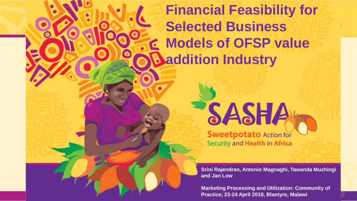# **Financial Feasibility for Selected Business Models of OFSP value addition Industry**



**Sweetpotato Action for Security and Health in Africa** 

**Srini Rajendran, Antonio Magnaghi, Tawanda Muzhingi and Jan Low**

**Marketing Processing and Utilization: Community of Practice, 23-24 April 2018, Blantyre, Malawi**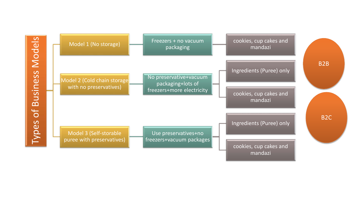Models Types of Business Models **Business** bf Types

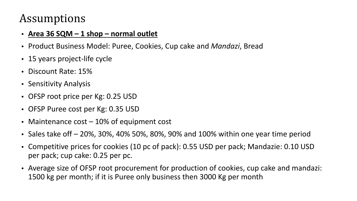#### Assumptions

#### • **Area 36 SQM – 1 shop – normal outlet**

- Product Business Model: Puree, Cookies, Cup cake and *Mandazi*, Bread
- 15 years project-life cycle
- Discount Rate: 15%
- Sensitivity Analysis
- OFSP root price per Kg: 0.25 USD
- OFSP Puree cost per Kg: 0.35 USD
- Maintenance cost 10% of equipment cost
- Sales take off 20%, 30%, 40% 50%, 80%, 90% and 100% within one year time period
- Competitive prices for cookies (10 pc of pack): 0.55 USD per pack; Mandazie: 0.10 USD per pack; cup cake: 0.25 per pc.
- Average size of OFSP root procurement for production of cookies, cup cake and mandazi: 1500 kg per month; if it is Puree only business then 3000 Kg per month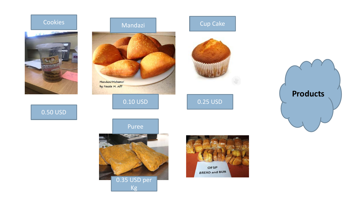

0.50 USD





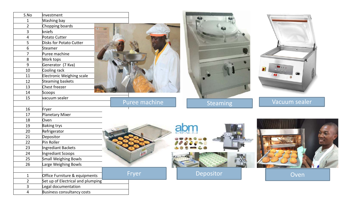| S.No                             | Investment                             |               |                 |               |
|----------------------------------|----------------------------------------|---------------|-----------------|---------------|
|                                  |                                        |               |                 |               |
| $\mathbf{1}$                     | Washing bay                            |               |                 |               |
| $\overline{2}$<br>$\overline{3}$ | Chopping boards<br>kniefs              |               |                 |               |
|                                  |                                        |               |                 |               |
| $\overline{4}$                   | Potato Cutter                          |               |                 |               |
| 5<br>$\boldsymbol{6}$            | Disks for Potato Cutter                |               |                 |               |
| $\overline{7}$                   | Steamer<br>Puree machine               |               |                 |               |
|                                  |                                        |               |                 |               |
| 8<br>9                           | Work tops                              |               |                 |               |
|                                  | Generator (7 Kva)                      |               |                 |               |
| 10                               | Cooling rack                           |               |                 |               |
| 11<br>12                         | Electronic Weighing scale              |               |                 |               |
| 13                               | Steaming baskets<br>Chest freezer      |               |                 |               |
| 14                               | Scoops                                 |               |                 |               |
| 15                               | vacuum sealer                          |               |                 |               |
|                                  |                                        | Puree machine | <b>Steaming</b> | Vacuum sealer |
| 16                               | Fryer                                  |               |                 |               |
| 17                               | Planetary Mixer                        |               |                 |               |
| 18                               | Oven                                   |               |                 |               |
| 19                               | <b>Baking trys</b>                     |               |                 |               |
| 20                               | Refrigerator                           |               |                 |               |
| 21                               | Depositor                              |               |                 |               |
| 22                               | Pin Roller                             |               |                 |               |
| 23                               | Ingrediant Backets                     |               |                 |               |
| 24                               | Ingrediant Scoops                      |               |                 |               |
| 25                               | Small Weighing Bowls                   |               |                 |               |
| 26                               | Large Weighing Bowls                   |               |                 |               |
|                                  |                                        |               |                 |               |
| $\mathbf{1}$                     | Fryer<br>Office Furniture & equipments |               | Depositor       | Oven          |
| $\overline{2}$                   | Set up of Electrical and plumping      |               |                 |               |
| $\overline{3}$                   | Legal documentation                    |               |                 |               |
| $\overline{4}$                   | Business consultancy costs             |               |                 |               |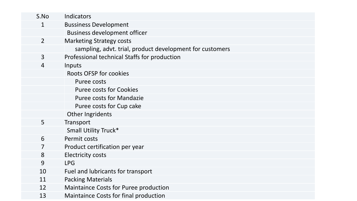| S.No           | Indicators                                               |
|----------------|----------------------------------------------------------|
| 1              | <b>Bussiness Development</b>                             |
|                | <b>Business development officer</b>                      |
| $\overline{2}$ | <b>Marketing Strategy costs</b>                          |
|                | sampling, advt. trial, product development for customers |
| $\overline{3}$ | Professional technical Staffs for production             |
| $\overline{4}$ | Inputs                                                   |
|                | <b>Roots OFSP for cookies</b>                            |
|                | Puree costs                                              |
|                | <b>Puree costs for Cookies</b>                           |
|                | <b>Puree costs for Mandazie</b>                          |
|                | Puree costs for Cup cake                                 |
|                | Other Ingridents                                         |
| 5              | Transport                                                |
|                | Small Utility Truck*                                     |
| 6              | Permit costs                                             |
| 7              | Product certification per year                           |
| 8              | <b>Electricity costs</b>                                 |
| 9              | <b>LPG</b>                                               |
| 10             | Fuel and lubricants for transport                        |
| 11             | <b>Packing Materials</b>                                 |
| 12             | <b>Maintaince Costs for Puree production</b>             |
| 13             | <b>Maintaince Costs for final production</b>             |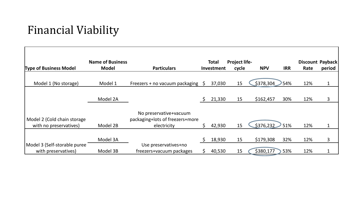## Financial Viability

|                               | <b>Name of Business</b> |                                 |    | <b>Total</b> | <b>Project life-</b> |            |            |      | Discount Payback |
|-------------------------------|-------------------------|---------------------------------|----|--------------|----------------------|------------|------------|------|------------------|
| <b>Type of Business Model</b> | <b>Model</b>            | <b>Particulars</b>              |    | Investment   | cycle                | <b>NPV</b> | <b>IRR</b> | Rate | period           |
|                               |                         |                                 |    |              |                      |            |            |      |                  |
| Model 1 (No storage)          | Model 1                 | Freezers + no vacuum packaging  |    | 37,030       | 15                   | \$378,304  | 54%        | 12%  | $\mathbf 1$      |
|                               |                         |                                 |    |              |                      |            |            |      |                  |
|                               | Model 2A                |                                 |    | 21,330       | 15                   | \$162,457  | 30%        | 12%  | 3                |
|                               |                         |                                 |    |              |                      |            |            |      |                  |
|                               |                         | No preservative+vacuum          |    |              |                      |            |            |      |                  |
| Model 2 (Cold chain storage   |                         | packaging+lots of freezers+more |    |              |                      |            |            |      |                  |
| with no preservatives)        | Model 2B                | electricity                     | Ś. | 42,930       | 15                   | \$376,232  | 51%        | 12%  | $\mathbf 1$      |
|                               |                         |                                 |    |              |                      |            |            |      |                  |
|                               | Model 3A                |                                 | Ś  | 18,930       | 15                   | \$179,308  | 32%        | 12%  | 3                |
| Model 3 (Self-storable puree  |                         | Use preservatives+no            |    |              |                      |            |            |      |                  |
| with preservatives)           | Model 3B                | freezers+vacuum packages        |    | 40,530       | 15                   | \$380,177  | 53%        | 12%  | 1                |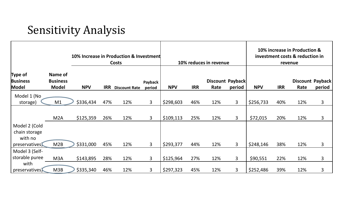#### Sensitivity Analysis

|                                                            | 10% Increase in Production & Investment<br><b>Costs</b> |            |            | 10% reduces in revenue |                   |            |            | 10% increase in Production &<br>investment costs & reduction in<br>revenue |                            |            |            |      |                            |
|------------------------------------------------------------|---------------------------------------------------------|------------|------------|------------------------|-------------------|------------|------------|----------------------------------------------------------------------------|----------------------------|------------|------------|------|----------------------------|
| Type of<br><b>Business</b><br>Model                        | Name of<br><b>Business</b><br><b>Model</b>              | <b>NPV</b> | <b>IRR</b> | <b>Discount Rate</b>   | Payback<br>period | <b>NPV</b> | <b>IRR</b> | Rate                                                                       | Discount Payback<br>period | <b>NPV</b> | <b>IRR</b> | Rate | Discount Payback<br>period |
| Model 1 (No<br>storage)                                    | M1                                                      | \$336,434  | 47%        | 12%                    | 3                 | \$298,603  | 46%        | 12%                                                                        | 3                          | \$256,733  | 40%        | 12%  | $\overline{3}$             |
|                                                            | M2A                                                     | \$125,359  | 26%        | 12%                    | 3                 | \$109,113  | 25%        | 12%                                                                        | $\overline{3}$             | \$72,015   | 20%        | 12%  | 3                          |
| Model 2 (Cold<br>chain storage<br>with no<br>preservatives | M2B                                                     | \$331,000  | 45%        | 12%                    | $\overline{3}$    | \$293,377  | 44%        | 12%                                                                        | $\overline{3}$             | \$248,146  | 38%        | 12%  | $\overline{3}$             |
| Model 3 (Self-<br>storable puree                           | M <sub>3</sub> A                                        | \$143,895  | 28%        | 12%                    | $\mathbf{3}$      | \$125,964  | 27%        | 12%                                                                        | 3                          | \$90,551   | 22%        | 12%  | $\overline{3}$             |
| with<br>preservatives                                      | M3B                                                     | \$335,340  | 46%        | 12%                    | 3                 | \$297,323  | 45%        | 12%                                                                        | 3                          | \$252,486  | 39%        | 12%  | 3                          |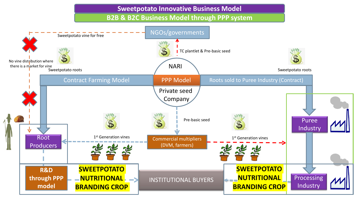**Sweetpotato Innovative Business Model** 

**B2B & B2C Business Model through PPP system**

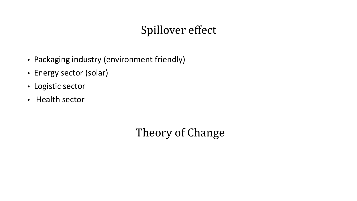## Spillover effect

- Packaging industry (environment friendly)
- Energy sector (solar)
- Logistic sector
- Health sector

Theory of Change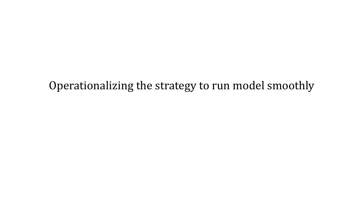Operationalizing the strategy to run model smoothly